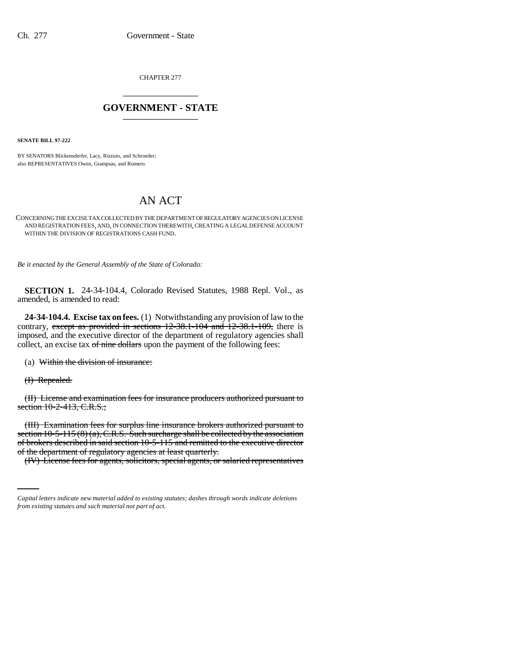CHAPTER 277 \_\_\_\_\_\_\_\_\_\_\_\_\_\_\_

## **GOVERNMENT - STATE** \_\_\_\_\_\_\_\_\_\_\_\_\_\_\_

**SENATE BILL 97-222**

BY SENATORS Blickensderfer, Lacy, Rizzuto, and Schroeder; also REPRESENTATIVES Owen, Grampsas, and Romero.

## AN ACT

CONCERNING THE EXCISE TAX COLLECTED BY THE DEPARTMENT OF REGULATORY AGENCIES ON LICENSE AND REGISTRATION FEES, AND, IN CONNECTION THEREWITH, CREATING A LEGAL DEFENSE ACCOUNT WITHIN THE DIVISION OF REGISTRATIONS CASH FUND.

*Be it enacted by the General Assembly of the State of Colorado:*

**SECTION 1.** 24-34-104.4, Colorado Revised Statutes, 1988 Repl. Vol., as amended, is amended to read:

**24-34-104.4. Excise tax on fees.** (1) Notwithstanding any provision of law to the contrary, except as provided in sections 12-38.1-104 and 12-38.1-109, there is imposed, and the executive director of the department of regulatory agencies shall collect, an excise tax of nine dollars upon the payment of the following fees:

(a) Within the division of insurance:

(I) Repealed.

(II) License and examination fees for insurance producers authorized pursuant to section 10-2-413, C.R.S.;

of brokers described in said section 10-5-115 and remitted to the executive director (III) Examination fees for surplus line insurance brokers authorized pursuant to section  $10-5-115(8)(a)$ , C.R.S. Such surcharge shall be collected by the association of the department of regulatory agencies at least quarterly.

(IV) License fees for agents, solicitors, special agents, or salaried representatives

*Capital letters indicate new material added to existing statutes; dashes through words indicate deletions from existing statutes and such material not part of act.*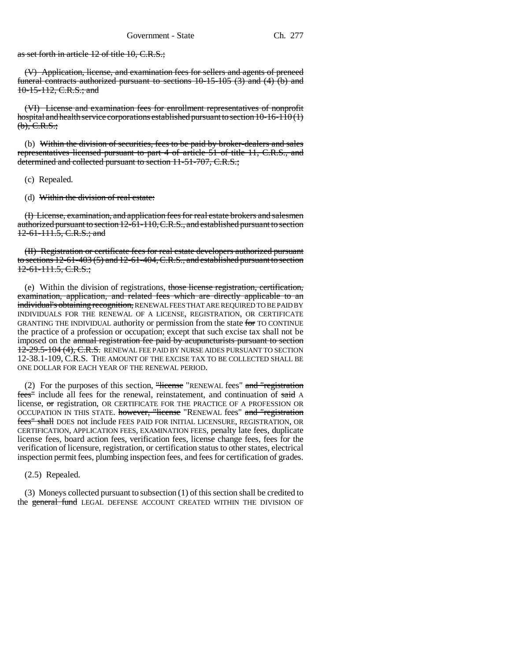as set forth in article 12 of title 10, C.R.S.;

(V) Application, license, and examination fees for sellers and agents of preneed funeral contracts authorized pursuant to sections 10-15-105 (3) and (4) (b) and 10-15-112, C.R.S.; and

(VI) License and examination fees for enrollment representatives of nonprofit hospital and health service corporations established pursuant to section 10-16-110 (1)  $(b)$ , C.R.S.;

(b) Within the division of securities, fees to be paid by broker-dealers and sales representatives licensed pursuant to part 4 of article 51 of title 11, C.R.S., and determined and collected pursuant to section 11-51-707, C.R.S.;

- (c) Repealed.
- (d) Within the division of real estate:

(I) License, examination, and application fees for real estate brokers and salesmen authorized pursuant to section 12-61-110, C.R.S., and established pursuant to section 12-61-111.5, C.R.S.; and

(II) Registration or certificate fees for real estate developers authorized pursuant to sections 12-61-403 (5) and 12-61-404, C.R.S., and established pursuant to section 12-61-111.5, C.R.S.;

(e) Within the division of registrations, those license registration, certification, examination, application, and related fees which are directly applicable to an individual's obtaining recognition, RENEWAL FEES THAT ARE REQUIRED TO BE PAID BY INDIVIDUALS FOR THE RENEWAL OF A LICENSE, REGISTRATION, OR CERTIFICATE GRANTING THE INDIVIDUAL authority or permission from the state for TO CONTINUE the practice of a profession or occupation; except that such excise tax shall not be imposed on the annual registration fee paid by acupuncturists pursuant to section 12-29.5-104 (4), C.R.S. RENEWAL FEE PAID BY NURSE AIDES PURSUANT TO SECTION 12-38.1-109, C.R.S. THE AMOUNT OF THE EXCISE TAX TO BE COLLECTED SHALL BE ONE DOLLAR FOR EACH YEAR OF THE RENEWAL PERIOD.

(2) For the purposes of this section, "license "RENEWAL fees" and "registration fees" include all fees for the renewal, reinstatement, and continuation of said A license, or registration, OR CERTIFICATE FOR THE PRACTICE OF A PROFESSION OR OCCUPATION IN THIS STATE. however, "license "RENEWAL fees" and "registration fees" shall DOES not include FEES PAID FOR INITIAL LICENSURE, REGISTRATION, OR CERTIFICATION, APPLICATION FEES, EXAMINATION FEES, penalty late fees, duplicate license fees, board action fees, verification fees, license change fees, fees for the verification of licensure, registration, or certification status to other states, electrical inspection permit fees, plumbing inspection fees, and fees for certification of grades.

(2.5) Repealed.

(3) Moneys collected pursuant to subsection (1) of this section shall be credited to the general fund LEGAL DEFENSE ACCOUNT CREATED WITHIN THE DIVISION OF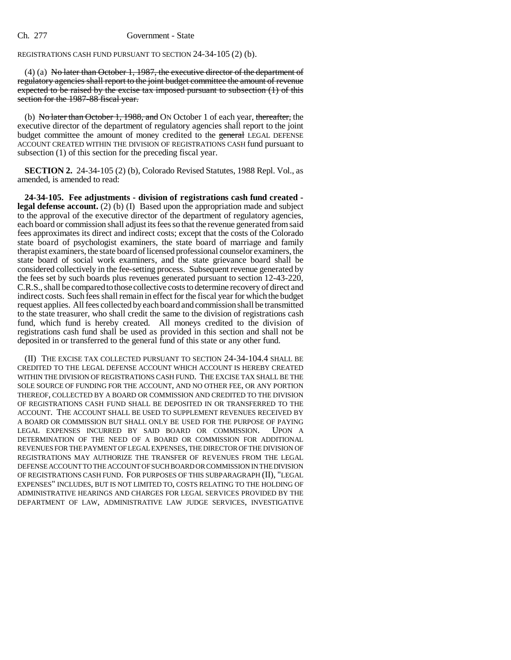## Ch. 277 Government - State

## REGISTRATIONS CASH FUND PURSUANT TO SECTION 24-34-105 (2) (b).

(4) (a) No later than October 1, 1987, the executive director of the department of regulatory agencies shall report to the joint budget committee the amount of revenue expected to be raised by the excise tax imposed pursuant to subsection (1) of this section for the 1987-88 fiscal year.

(b) No later than October 1, 1988, and ON October 1 of each year, thereafter, the executive director of the department of regulatory agencies shall report to the joint budget committee the amount of money credited to the general LEGAL DEFENSE ACCOUNT CREATED WITHIN THE DIVISION OF REGISTRATIONS CASH fund pursuant to subsection (1) of this section for the preceding fiscal year.

**SECTION 2.** 24-34-105 (2) (b), Colorado Revised Statutes, 1988 Repl. Vol., as amended, is amended to read:

**24-34-105. Fee adjustments - division of registrations cash fund created legal defense account.** (2) (b) (I) Based upon the appropriation made and subject to the approval of the executive director of the department of regulatory agencies, each board or commission shall adjust its fees so that the revenue generated from said fees approximates its direct and indirect costs; except that the costs of the Colorado state board of psychologist examiners, the state board of marriage and family therapist examiners, the state board of licensed professional counselor examiners, the state board of social work examiners, and the state grievance board shall be considered collectively in the fee-setting process. Subsequent revenue generated by the fees set by such boards plus revenues generated pursuant to section 12-43-220, C.R.S., shall be compared to those collective costs to determine recovery of direct and indirect costs. Such fees shall remain in effect for the fiscal year for which the budget request applies. All fees collected by each board and commission shall be transmitted to the state treasurer, who shall credit the same to the division of registrations cash fund, which fund is hereby created. All moneys credited to the division of registrations cash fund shall be used as provided in this section and shall not be deposited in or transferred to the general fund of this state or any other fund.

(II) THE EXCISE TAX COLLECTED PURSUANT TO SECTION 24-34-104.4 SHALL BE CREDITED TO THE LEGAL DEFENSE ACCOUNT WHICH ACCOUNT IS HEREBY CREATED WITHIN THE DIVISION OF REGISTRATIONS CASH FUND. THE EXCISE TAX SHALL BE THE SOLE SOURCE OF FUNDING FOR THE ACCOUNT, AND NO OTHER FEE, OR ANY PORTION THEREOF, COLLECTED BY A BOARD OR COMMISSION AND CREDITED TO THE DIVISION OF REGISTRATIONS CASH FUND SHALL BE DEPOSITED IN OR TRANSFERRED TO THE ACCOUNT. THE ACCOUNT SHALL BE USED TO SUPPLEMENT REVENUES RECEIVED BY A BOARD OR COMMISSION BUT SHALL ONLY BE USED FOR THE PURPOSE OF PAYING LEGAL EXPENSES INCURRED BY SAID BOARD OR COMMISSION. UPON A DETERMINATION OF THE NEED OF A BOARD OR COMMISSION FOR ADDITIONAL REVENUES FOR THE PAYMENT OF LEGAL EXPENSES, THE DIRECTOR OF THE DIVISION OF REGISTRATIONS MAY AUTHORIZE THE TRANSFER OF REVENUES FROM THE LEGAL DEFENSE ACCOUNT TO THE ACCOUNT OF SUCH BOARD OR COMMISSION IN THE DIVISION OF REGISTRATIONS CASH FUND. FOR PURPOSES OF THIS SUBPARAGRAPH (II), "LEGAL EXPENSES" INCLUDES, BUT IS NOT LIMITED TO, COSTS RELATING TO THE HOLDING OF ADMINISTRATIVE HEARINGS AND CHARGES FOR LEGAL SERVICES PROVIDED BY THE DEPARTMENT OF LAW, ADMINISTRATIVE LAW JUDGE SERVICES, INVESTIGATIVE